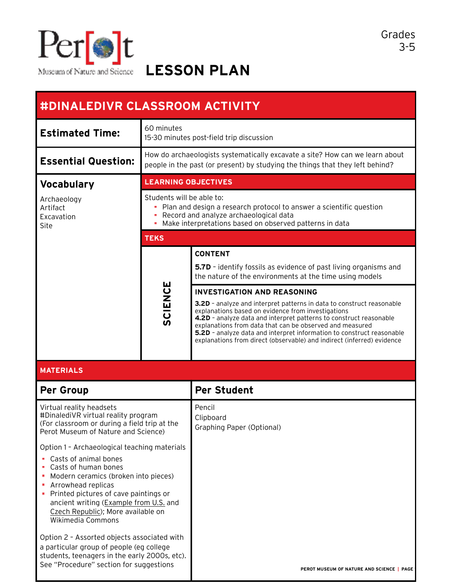

**LESSON PLAN**

| #DINALEDIVR CLASSROOM ACTIVITY                                                                                                                                                                                                                            |                                                                                                                                                               |                                                                                                                                                                                                                                                                                                                                                                                                                                                        |  |  |
|-----------------------------------------------------------------------------------------------------------------------------------------------------------------------------------------------------------------------------------------------------------|---------------------------------------------------------------------------------------------------------------------------------------------------------------|--------------------------------------------------------------------------------------------------------------------------------------------------------------------------------------------------------------------------------------------------------------------------------------------------------------------------------------------------------------------------------------------------------------------------------------------------------|--|--|
| <b>Estimated Time:</b>                                                                                                                                                                                                                                    | 60 minutes<br>15-30 minutes post-field trip discussion                                                                                                        |                                                                                                                                                                                                                                                                                                                                                                                                                                                        |  |  |
| <b>Essential Question:</b>                                                                                                                                                                                                                                | How do archaeologists systematically excavate a site? How can we learn about<br>people in the past (or present) by studying the things that they left behind? |                                                                                                                                                                                                                                                                                                                                                                                                                                                        |  |  |
| <b>Vocabulary</b>                                                                                                                                                                                                                                         | <b>LEARNING OBJECTIVES</b>                                                                                                                                    |                                                                                                                                                                                                                                                                                                                                                                                                                                                        |  |  |
| Archaeology<br>Artifact<br>Excavation<br>Site                                                                                                                                                                                                             | Students will be able to:<br>٠                                                                                                                                | Plan and design a research protocol to answer a scientific question<br>Record and analyze archaeological data<br>Make interpretations based on observed patterns in data                                                                                                                                                                                                                                                                               |  |  |
|                                                                                                                                                                                                                                                           | <b>TEKS</b>                                                                                                                                                   |                                                                                                                                                                                                                                                                                                                                                                                                                                                        |  |  |
|                                                                                                                                                                                                                                                           |                                                                                                                                                               | <b>CONTENT</b>                                                                                                                                                                                                                                                                                                                                                                                                                                         |  |  |
|                                                                                                                                                                                                                                                           |                                                                                                                                                               | 5.7D - identify fossils as evidence of past living organisms and<br>the nature of the environments at the time using models                                                                                                                                                                                                                                                                                                                            |  |  |
|                                                                                                                                                                                                                                                           | <b>SCIENCE</b>                                                                                                                                                | <b>INVESTIGATION AND REASONING</b><br>3.2D - analyze and interpret patterns in data to construct reasonable<br>explanations based on evidence from investigations<br>4.2D - analyze data and interpret patterns to construct reasonable<br>explanations from data that can be observed and measured<br>5.2D - analyze data and interpret information to construct reasonable<br>explanations from direct (observable) and indirect (inferred) evidence |  |  |
| <b>MATERIALS</b>                                                                                                                                                                                                                                          |                                                                                                                                                               |                                                                                                                                                                                                                                                                                                                                                                                                                                                        |  |  |
| <b>Per Group</b>                                                                                                                                                                                                                                          |                                                                                                                                                               | <b>Per Student</b>                                                                                                                                                                                                                                                                                                                                                                                                                                     |  |  |
| Virtual reality headsets<br>#DinalediVR virtual reality program<br>(For classroom or during a field trip at the<br>Perot Museum of Nature and Science)                                                                                                    |                                                                                                                                                               | Pencil<br>Clipboard<br>Graphing Paper (Optional)                                                                                                                                                                                                                                                                                                                                                                                                       |  |  |
| Option 1 - Archaeological teaching materials                                                                                                                                                                                                              |                                                                                                                                                               |                                                                                                                                                                                                                                                                                                                                                                                                                                                        |  |  |
| Casts of animal bones<br>Casts of human bones<br>Modern ceramics (broken into pieces)<br>Arrowhead replicas<br>Printed pictures of cave paintings or<br>ancient writing (Example from U.S. and<br>Czech Republic); More available on<br>Wikimedia Commons |                                                                                                                                                               |                                                                                                                                                                                                                                                                                                                                                                                                                                                        |  |  |
| Option 2 - Assorted objects associated with<br>a particular group of people (eg college<br>students, teenagers in the early 2000s, etc).<br>See "Procedure" section for suggestions                                                                       |                                                                                                                                                               | PEROT MUSEUM OF NATURE AND SCIENCE   PAGE                                                                                                                                                                                                                                                                                                                                                                                                              |  |  |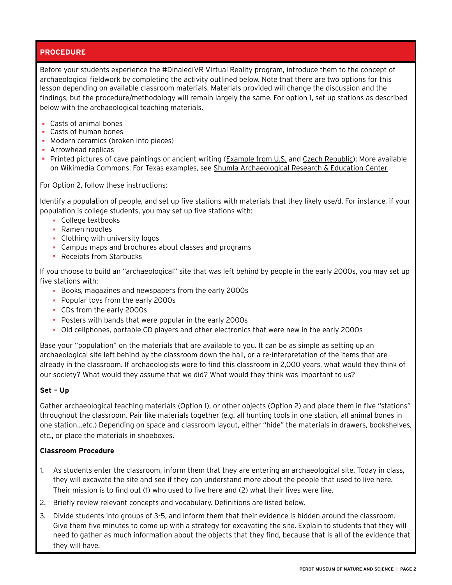# **PROCEDURE**

Before your students experience the #DinalediVR Virtual Reality program, introduce them to the concept of archaeological fieldwork by completing the activity outlined below. Note that there are two options for this lesson depending on available classroom materials. Materials provided will change the discussion and the findings, but the procedure/methodology will remain largely the same. For option 1, set up stations as described below with the archaeological teaching materials.

- Casts of animal bones
- Casts of human bones
- **Modern ceramics (broken into pieces)**
- **Arrowhead replicas**
- Printed pictures of cave paintings or ancient writing ([Example from U.S.](https://commons.wikimedia.org/wiki/Category:Pictographs_in_caves_in_the_United_States#/media/File:Possible_Navajo_charcol_cave_draving_of_soldado_de_cuera_cira_unknown.png) and [Czech Republic\)](https://upload.wikimedia.org/wikipedia/commons/8/86/Cave_painting,_Anthropos_(1).jpeg); More available on Wikimedia Commons. For Texas examples, see [Shumla Archaeological Research & Education Center](http://shumla.org)

For Option 2, follow these instructions:

Identify a population of people, and set up five stations with materials that they likely use/d. For instance, if your population is college students, you may set up five stations with:

- **College textbooks**
- **Ramen noodles**
- Clothing with university logos
- Campus maps and brochures about classes and programs
- **Receipts from Starbucks**

If you choose to build an "archaeological" site that was left behind by people in the early 2000s, you may set up five stations with:

- Books, magazines and newspapers from the early 2000s
- **Popular toys from the early 2000s**
- CDs from the early 2000s
- **Posters with bands that were popular in the early 2000s**
- Old cellphones, portable CD players and other electronics that were new in the early 2000s

Base your "population" on the materials that are available to you. It can be as simple as setting up an archaeological site left behind by the classroom down the hall, or a re-interpretation of the items that are already in the classroom. If archaeologists were to find this classroom in 2,000 years, what would they think of our society? What would they assume that we did? What would they think was important to us?

## **Set – Up**

Gather archaeological teaching materials (Option 1), or other objects (Option 2) and place them in five "stations" throughout the classroom. Pair like materials together (e.g. all hunting tools in one station, all animal bones in one station…etc.) Depending on space and classroom layout, either "hide" the materials in drawers, bookshelves, etc., or place the materials in shoeboxes.

## **Classroom Procedure**

- 1. As students enter the classroom, inform them that they are entering an archaeological site. Today in class, they will excavate the site and see if they can understand more about the people that used to live here. Their mission is to find out (1) who used to live here and (2) what their lives were like.
- 2. Briefly review relevant concepts and vocabulary. Definitions are listed below.
- 3. Divide students into groups of 3-5, and inform them that their evidence is hidden around the classroom. Give them five minutes to come up with a strategy for excavating the site. Explain to students that they will need to gather as much information about the objects that they find, because that is all of the evidence that they will have.